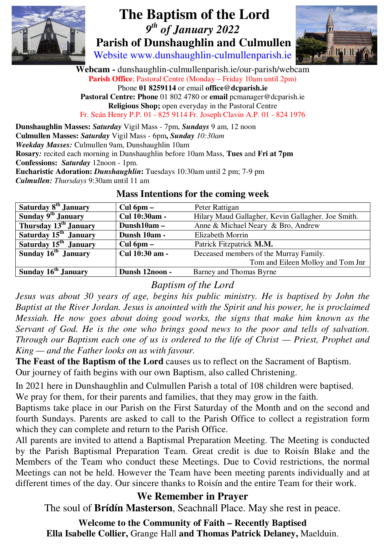

# **The Baptism of the Lord**   *9th of January 2022*   **Parish of Dunshaughlin and Culmullen**

Website www.dunshaughlin-culmullenparish.ie



**Webcam -** dunshaughlin-culmullenparish.ie/our-parish/webcam **Parish Office**; Pastoral Centre (Monday – Friday 10am until 2pm) Phone **01 8259114** or email **office@dcparish.ie Pastoral Centre: Phone** 01 802 4780 or **email** pcmanager@dcparish.ie **Religious Shop;** open everyday in the Pastoral Centre Fr. Seán Henry P.P. 01 - 825 9114 Fr. Joseph Clavin A.P. 01 - 824 1976

**Dunshaughlin Masses:** *Saturday* Vigil Mass - 7pm, *Sundays* 9 am, 12 noon **Culmullen Masses:** *Saturday* Vigil Mass - 6pm**,** *Sunday 10:30am Weekday Masses:* Culmullen 9am, Dunshaughlin 10am **Rosary***:* recited each morning in Dunshaughlin before 10am Mass, **Tues** and **Fri at 7pm Confessions:** *Saturday* 12noon - 1pm. **Eucharistic Adoration:** *Dunshaughlin***:** Tuesdays 10:30am until 2 pm; 7-9 pm *Culmullen: Thursdays* 9:30am until 11 am

| Saturday 8 <sup>th</sup> January  | $Cul$ 6pm $-$  | Peter Rattigan                                     |
|-----------------------------------|----------------|----------------------------------------------------|
| Sunday 9 <sup>th</sup> January    | Cul 10:30am -  | Hilary Maud Gallagher, Kevin Gallagher. Joe Smith. |
| Thursday $13^{\text{th}}$ January | Dunsh10am -    | Anne & Michael Neary & Bro, Andrew                 |
| Saturday 15 <sup>th</sup> January | Dunsh 10am -   | <b>Elizabeth Morrin</b>                            |
| Saturday 15 <sup>th</sup> January | Cul $6pm -$    | Patrick Fitzpatrick M.M.                           |
| Sunday 16 <sup>th</sup> January   | Cul 10:30 am - | Deceased members of the Murray Family.             |
|                                   |                | Tom and Eileen Molloy and Tom Jnr                  |
| Sunday 16 <sup>th</sup> January   | Dunsh 12noon - | Barney and Thomas Byrne                            |

#### **Mass Intentions for the coming week**

# *Baptism of the Lord*

*Jesus was about 30 years of age, begins his public ministry. He is baptised by John the Baptist at the River Jordan. Jesus is anointed with the Spirit and his power, he is proclaimed Messiah. He now goes about doing good works, the signs that make him known as the Servant of God. He is the one who brings good news to the poor and tells of salvation. Through our Baptism each one of us is ordered to the life of Christ — Priest, Prophet and King — and the Father looks on us with favour.* 

**The Feast of the Baptism of the Lord** causes us to reflect on the Sacrament of Baptism. Our journey of faith begins with our own Baptism, also called Christening.

In 2021 here in Dunshaughlin and Culmullen Parish a total of 108 children were baptised. We pray for them, for their parents and families, that they may grow in the faith.

Baptisms take place in our Parish on the First Saturday of the Month and on the second and fourth Sundays. Parents are asked to call to the Parish Office to collect a registration form which they can complete and return to the Parish Office.

All parents are invited to attend a Baptismal Preparation Meeting. The Meeting is conducted by the Parish Baptismal Preparation Team. Great credit is due to Roisín Blake and the Members of the Team who conduct these Meetings. Due to Covid restrictions, the normal Meetings can not be held. However the Team have been meeting parents individually and at different times of the day. Our sincere thanks to Roisín and the entire Team for their work.

### **We Remember in Prayer**

The soul of **Brídín Masterson**, Seachnall Place. May she rest in peace.

**Welcome to the Community of Faith – Recently Baptised Ella Isabelle Collier,** Grange Hall **and Thomas Patrick Delaney,** Maelduin.